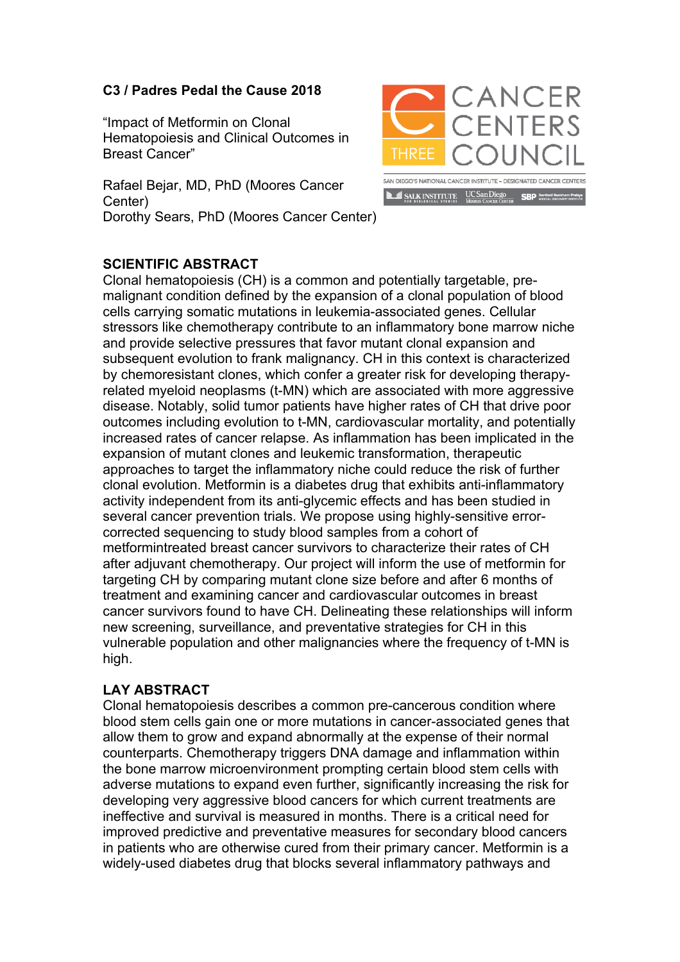## **C3 / Padres Pedal the Cause 2018**

"Impact of Metformin on Clonal Hematopoiesis and Clinical Outcomes in Breast Cancer"

Rafael Bejar, MD, PhD (Moores Cancer Center) Dorothy Sears, PhD (Moores Cancer Center)



## **SCIENTIFIC ABSTRACT**

Clonal hematopoiesis (CH) is a common and potentially targetable, premalignant condition defined by the expansion of a clonal population of blood cells carrying somatic mutations in leukemia-associated genes. Cellular stressors like chemotherapy contribute to an inflammatory bone marrow niche and provide selective pressures that favor mutant clonal expansion and subsequent evolution to frank malignancy. CH in this context is characterized by chemoresistant clones, which confer a greater risk for developing therapyrelated myeloid neoplasms (t-MN) which are associated with more aggressive disease. Notably, solid tumor patients have higher rates of CH that drive poor outcomes including evolution to t-MN, cardiovascular mortality, and potentially increased rates of cancer relapse. As inflammation has been implicated in the expansion of mutant clones and leukemic transformation, therapeutic approaches to target the inflammatory niche could reduce the risk of further clonal evolution. Metformin is a diabetes drug that exhibits anti-inflammatory activity independent from its anti-glycemic effects and has been studied in several cancer prevention trials. We propose using highly-sensitive errorcorrected sequencing to study blood samples from a cohort of metformintreated breast cancer survivors to characterize their rates of CH after adjuvant chemotherapy. Our project will inform the use of metformin for targeting CH by comparing mutant clone size before and after 6 months of treatment and examining cancer and cardiovascular outcomes in breast cancer survivors found to have CH. Delineating these relationships will inform new screening, surveillance, and preventative strategies for CH in this vulnerable population and other malignancies where the frequency of t-MN is high.

## **LAY ABSTRACT**

Clonal hematopoiesis describes a common pre-cancerous condition where blood stem cells gain one or more mutations in cancer-associated genes that allow them to grow and expand abnormally at the expense of their normal counterparts. Chemotherapy triggers DNA damage and inflammation within the bone marrow microenvironment prompting certain blood stem cells with adverse mutations to expand even further, significantly increasing the risk for developing very aggressive blood cancers for which current treatments are ineffective and survival is measured in months. There is a critical need for improved predictive and preventative measures for secondary blood cancers in patients who are otherwise cured from their primary cancer. Metformin is a widely-used diabetes drug that blocks several inflammatory pathways and